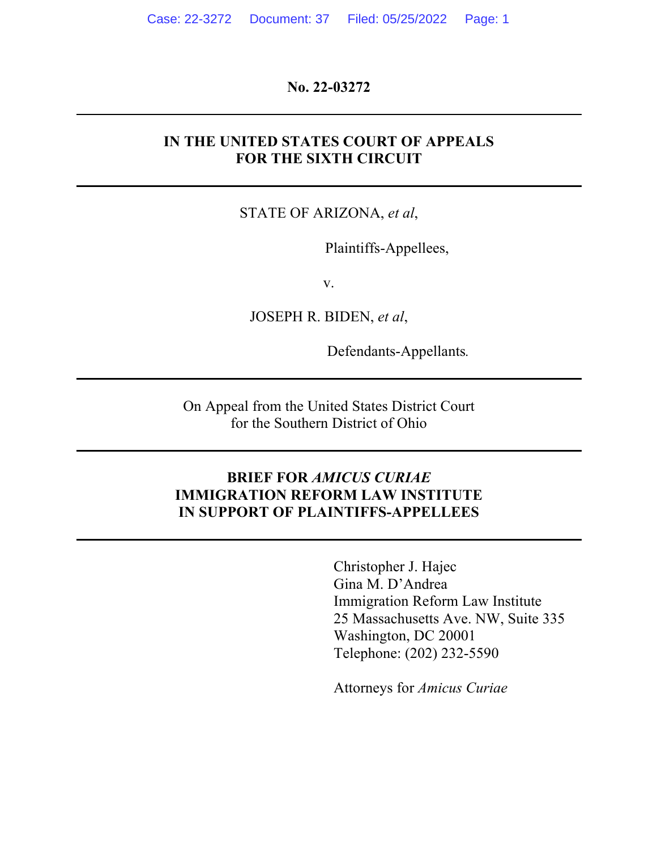**No. 22-03272**

### **IN THE UNITED STATES COURT OF APPEALS FOR THE SIXTH CIRCUIT**

### STATE OF ARIZONA, *et al*,

Plaintiffs-Appellees,

v.

JOSEPH R. BIDEN, *et al*,

Defendants-Appellants*.*

On Appeal from the United States District Court for the Southern District of Ohio

## **BRIEF FOR** *AMICUS CURIAE* **IMMIGRATION REFORM LAW INSTITUTE IN SUPPORT OF PLAINTIFFS-APPELLEES**

Christopher J. Hajec Gina M. D'Andrea Immigration Reform Law Institute 25 Massachusetts Ave. NW, Suite 335 Washington, DC 20001 Telephone: (202) 232-5590

Attorneys for *Amicus Curiae*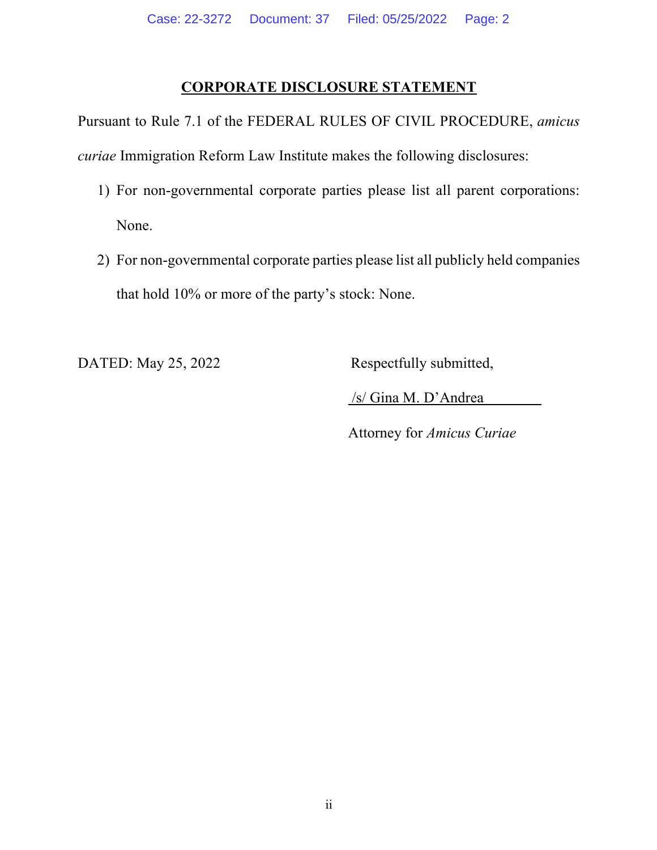## **CORPORATE DISCLOSURE STATEMENT**

Pursuant to Rule 7.1 of the FEDERAL RULES OF CIVIL PROCEDURE, *amicus curiae* Immigration Reform Law Institute makes the following disclosures:

- 1) For non-governmental corporate parties please list all parent corporations: None.
- 2) For non-governmental corporate parties please list all publicly held companies that hold 10% or more of the party's stock: None.

DATED: May 25, 2022 Respectfully submitted,

/s/ Gina M. D'Andrea

Attorney for *Amicus Curiae*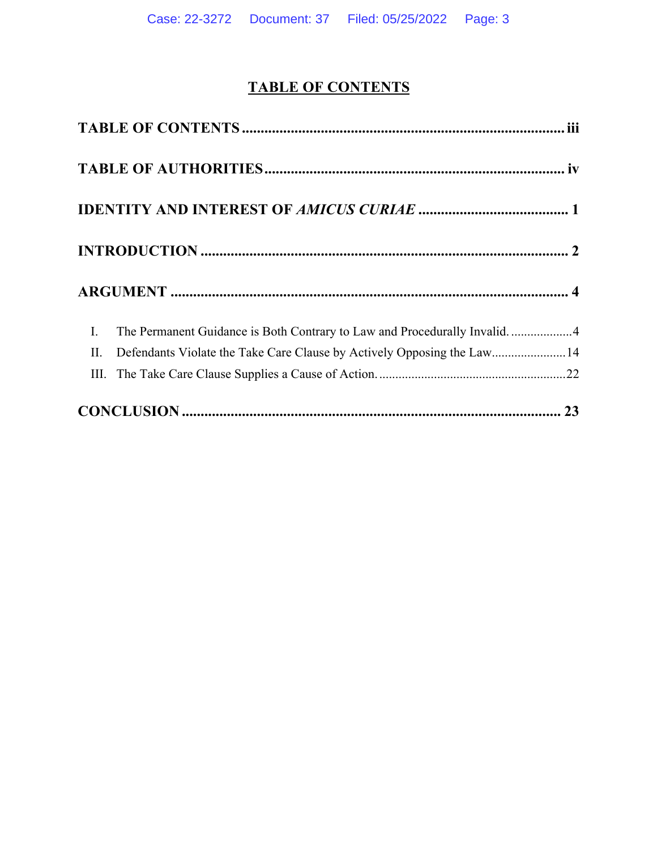# **TABLE OF CONTENTS**

| $\overline{\phantom{a}}$ | The Permanent Guidance is Both Contrary to Law and Procedurally Invalid. 4 |  |
|--------------------------|----------------------------------------------------------------------------|--|
| П.                       | Defendants Violate the Take Care Clause by Actively Opposing the Law14     |  |
|                          |                                                                            |  |
|                          |                                                                            |  |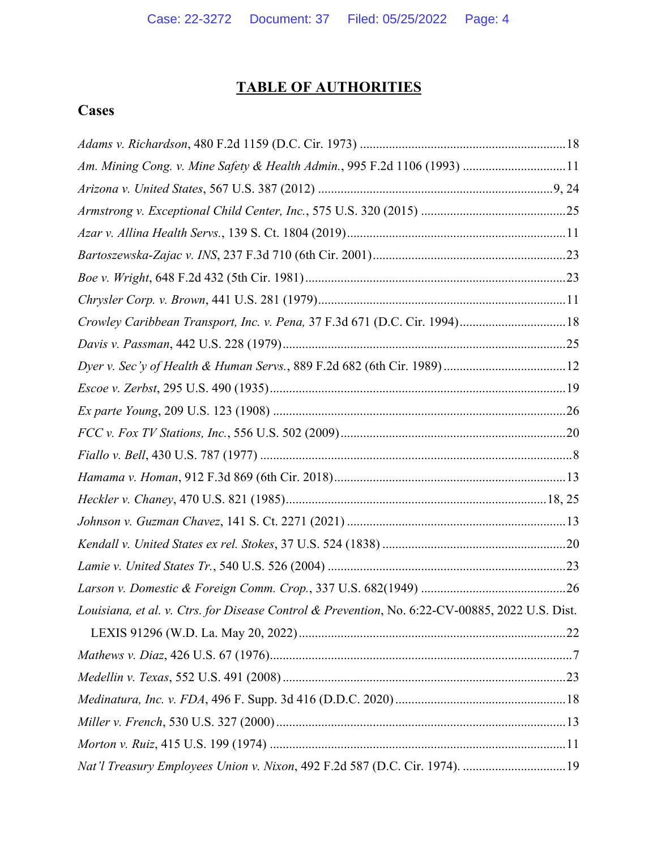# **TABLE OF AUTHORITIES**

# **Cases**

| Am. Mining Cong. v. Mine Safety & Health Admin., 995 F.2d 1106 (1993) 11                        |  |
|-------------------------------------------------------------------------------------------------|--|
|                                                                                                 |  |
|                                                                                                 |  |
|                                                                                                 |  |
|                                                                                                 |  |
|                                                                                                 |  |
|                                                                                                 |  |
| Crowley Caribbean Transport, Inc. v. Pena, 37 F.3d 671 (D.C. Cir. 1994) 18                      |  |
|                                                                                                 |  |
|                                                                                                 |  |
|                                                                                                 |  |
|                                                                                                 |  |
|                                                                                                 |  |
|                                                                                                 |  |
|                                                                                                 |  |
|                                                                                                 |  |
|                                                                                                 |  |
|                                                                                                 |  |
|                                                                                                 |  |
|                                                                                                 |  |
| Louisiana, et al. v. Ctrs. for Disease Control & Prevention, No. 6:22-CV-00885, 2022 U.S. Dist. |  |
|                                                                                                 |  |
|                                                                                                 |  |
|                                                                                                 |  |
|                                                                                                 |  |
|                                                                                                 |  |
|                                                                                                 |  |
| Nat'l Treasury Employees Union v. Nixon, 492 F.2d 587 (D.C. Cir. 1974). 19                      |  |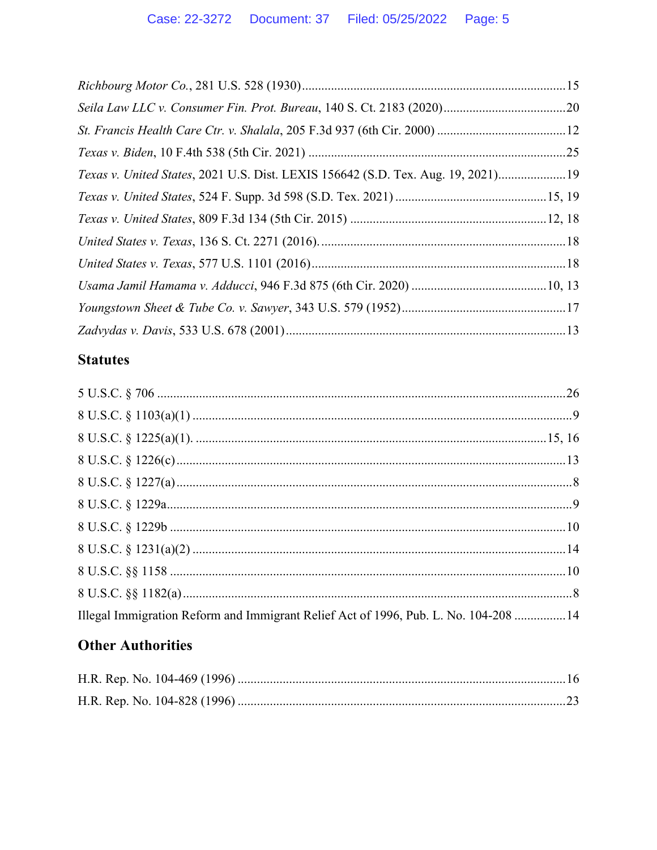| Texas v. United States, 2021 U.S. Dist. LEXIS 156642 (S.D. Tex. Aug. 19, 2021)19 |  |
|----------------------------------------------------------------------------------|--|
|                                                                                  |  |
|                                                                                  |  |
|                                                                                  |  |
|                                                                                  |  |
|                                                                                  |  |
|                                                                                  |  |
|                                                                                  |  |

# **Statutes**

| Illegal Immigration Reform and Immigrant Relief Act of 1996, Pub. L. No. 104-208  14 |  |
|--------------------------------------------------------------------------------------|--|

# **Other Authorities**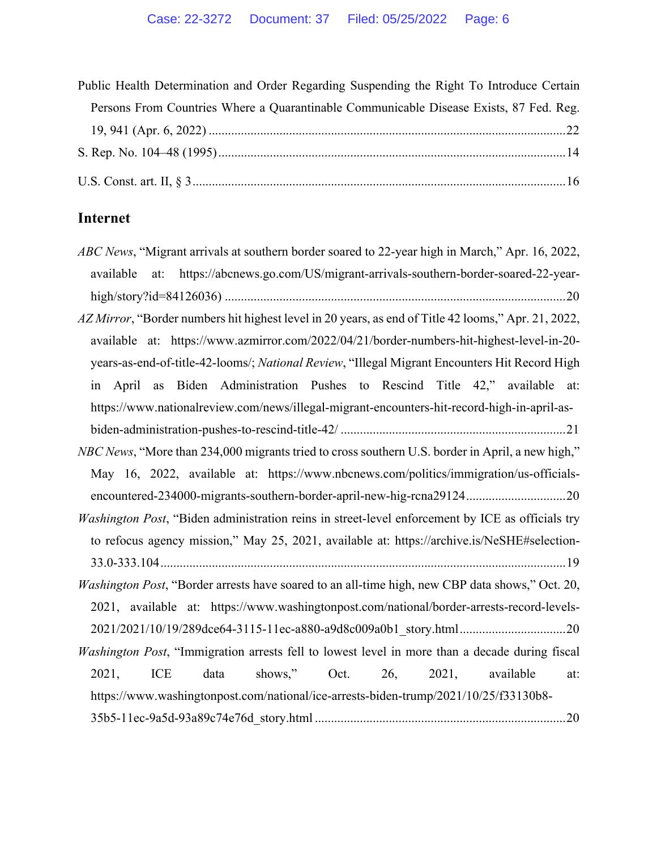| Public Health Determination and Order Regarding Suspending the Right To Introduce Certain |  |  |
|-------------------------------------------------------------------------------------------|--|--|
| Persons From Countries Where a Quarantinable Communicable Disease Exists, 87 Fed. Reg.    |  |  |
|                                                                                           |  |  |
|                                                                                           |  |  |
|                                                                                           |  |  |

# **Internet**

| ABC News, "Migrant arrivals at southern border soared to 22-year high in March," Apr. 16, 2022,        |
|--------------------------------------------------------------------------------------------------------|
| https://abcnews.go.com/US/migrant-arrivals-southern-border-soared-22-year-<br>at:<br>available         |
|                                                                                                        |
| AZ Mirror, "Border numbers hit highest level in 20 years, as end of Title 42 looms," Apr. 21, 2022,    |
| available at: https://www.azmirror.com/2022/04/21/border-numbers-hit-highest-level-in-20-              |
| years-as-end-of-title-42-looms/; National Review, "Illegal Migrant Encounters Hit Record High          |
| April as Biden Administration Pushes to Rescind Title 42," available at:<br>in                         |
| https://www.nationalreview.com/news/illegal-migrant-encounters-hit-record-high-in-april-as-            |
|                                                                                                        |
| NBC News, "More than 234,000 migrants tried to cross southern U.S. border in April, a new high,"       |
| May 16, 2022, available at: https://www.nbcnews.com/politics/immigration/us-officials-                 |
| encountered-234000-migrants-southern-border-april-new-hig-rcna2912420                                  |
|                                                                                                        |
| Washington Post, "Biden administration reins in street-level enforcement by ICE as officials try       |
| to refocus agency mission," May 25, 2021, available at: https://archive.is/NeSHE#selection-            |
|                                                                                                        |
| Washington Post, "Border arrests have soared to an all-time high, new CBP data shows," Oct. 20,        |
| 2021, available at: https://www.washingtonpost.com/national/border-arrests-record-levels-              |
|                                                                                                        |
| <i>Washington Post</i> , "Immigration arrests fell to lowest level in more than a decade during fiscal |
| shows," Oct. 26, 2021,<br>ICE data<br>2021,<br>available<br>at:                                        |
| https://www.washingtonpost.com/national/ice-arrests-biden-trump/2021/10/25/f33130b8-                   |
|                                                                                                        |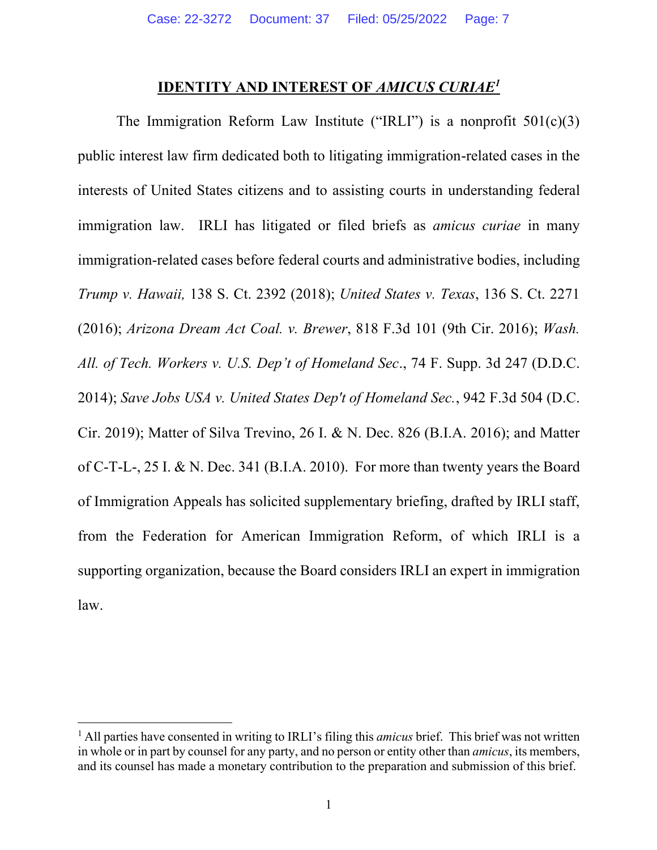#### **IDENTITY AND INTEREST OF** *AMICUS CURIAE1*

The Immigration Reform Law Institute ("IRLI") is a nonprofit  $501(c)(3)$ public interest law firm dedicated both to litigating immigration-related cases in the interests of United States citizens and to assisting courts in understanding federal immigration law. IRLI has litigated or filed briefs as *amicus curiae* in many immigration-related cases before federal courts and administrative bodies, including *Trump v. Hawaii,* 138 S. Ct. 2392 (2018); *United States v. Texas*, 136 S. Ct. 2271 (2016); *Arizona Dream Act Coal. v. Brewer*, 818 F.3d 101 (9th Cir. 2016); *Wash. All. of Tech. Workers v. U.S. Dep't of Homeland Sec*., 74 F. Supp. 3d 247 (D.D.C. 2014); *Save Jobs USA v. United States Dep't of Homeland Sec.*, 942 F.3d 504 (D.C. Cir. 2019); Matter of Silva Trevino, 26 I. & N. Dec. 826 (B.I.A. 2016); and Matter of C-T-L-, 25 I. & N. Dec. 341 (B.I.A. 2010). For more than twenty years the Board of Immigration Appeals has solicited supplementary briefing, drafted by IRLI staff, from the Federation for American Immigration Reform, of which IRLI is a supporting organization, because the Board considers IRLI an expert in immigration law.

<sup>&</sup>lt;sup>1</sup> All parties have consented in writing to IRLI's filing this *amicus* brief. This brief was not written in whole or in part by counsel for any party, and no person or entity other than *amicus*, its members, and its counsel has made a monetary contribution to the preparation and submission of this brief.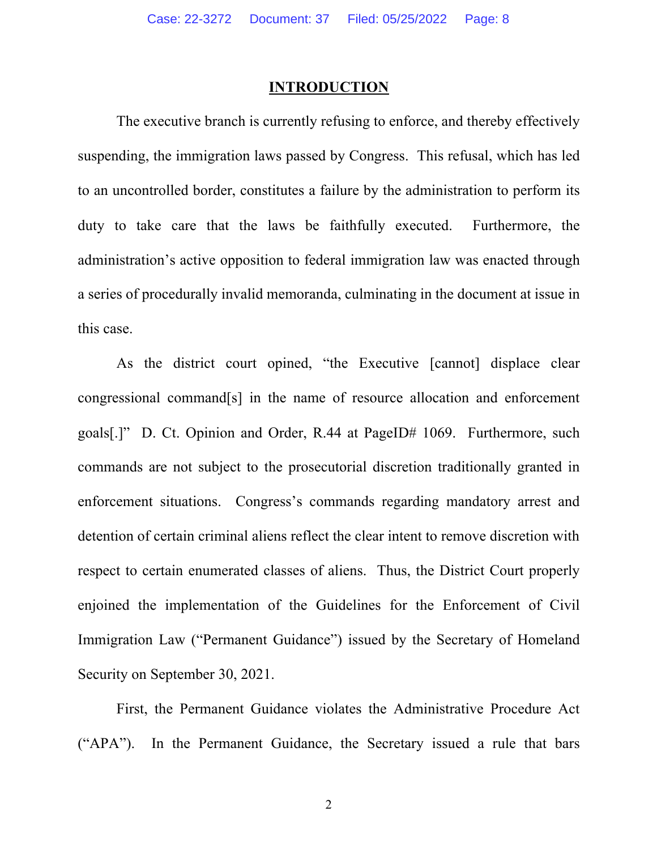#### **INTRODUCTION**

The executive branch is currently refusing to enforce, and thereby effectively suspending, the immigration laws passed by Congress. This refusal, which has led to an uncontrolled border, constitutes a failure by the administration to perform its duty to take care that the laws be faithfully executed. Furthermore, the administration's active opposition to federal immigration law was enacted through a series of procedurally invalid memoranda, culminating in the document at issue in this case.

As the district court opined, "the Executive [cannot] displace clear congressional command[s] in the name of resource allocation and enforcement goals[.]" D. Ct. Opinion and Order, R.44 at PageID# 1069. Furthermore, such commands are not subject to the prosecutorial discretion traditionally granted in enforcement situations. Congress's commands regarding mandatory arrest and detention of certain criminal aliens reflect the clear intent to remove discretion with respect to certain enumerated classes of aliens. Thus, the District Court properly enjoined the implementation of the Guidelines for the Enforcement of Civil Immigration Law ("Permanent Guidance") issued by the Secretary of Homeland Security on September 30, 2021.

First, the Permanent Guidance violates the Administrative Procedure Act ("APA"). In the Permanent Guidance, the Secretary issued a rule that bars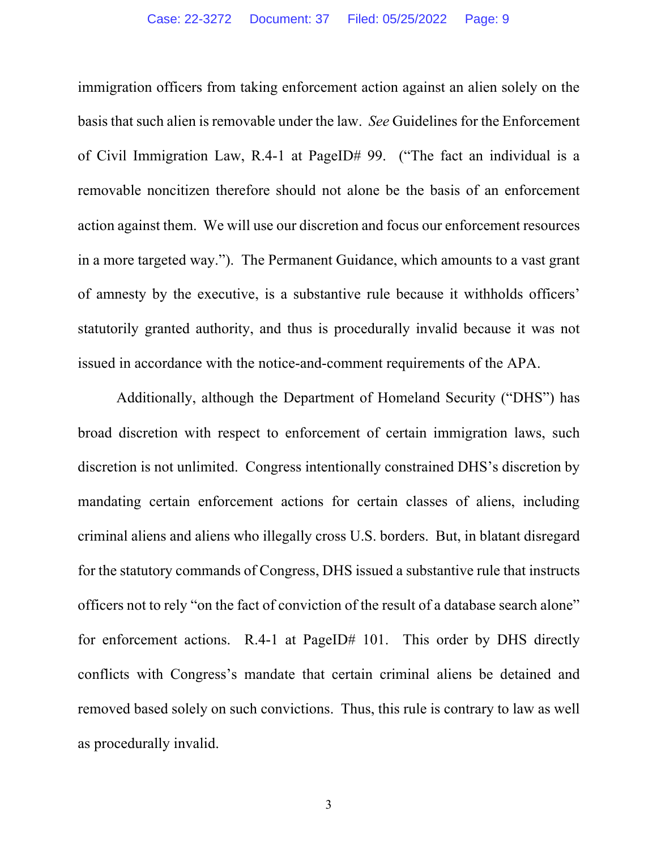immigration officers from taking enforcement action against an alien solely on the basis that such alien is removable under the law. *See* Guidelines for the Enforcement of Civil Immigration Law, R.4-1 at PageID# 99. ("The fact an individual is a removable noncitizen therefore should not alone be the basis of an enforcement action against them. We will use our discretion and focus our enforcement resources in a more targeted way."). The Permanent Guidance, which amounts to a vast grant of amnesty by the executive, is a substantive rule because it withholds officers' statutorily granted authority, and thus is procedurally invalid because it was not issued in accordance with the notice-and-comment requirements of the APA.

Additionally, although the Department of Homeland Security ("DHS") has broad discretion with respect to enforcement of certain immigration laws, such discretion is not unlimited. Congress intentionally constrained DHS's discretion by mandating certain enforcement actions for certain classes of aliens, including criminal aliens and aliens who illegally cross U.S. borders. But, in blatant disregard for the statutory commands of Congress, DHS issued a substantive rule that instructs officers not to rely "on the fact of conviction of the result of a database search alone" for enforcement actions. R.4-1 at PageID# 101. This order by DHS directly conflicts with Congress's mandate that certain criminal aliens be detained and removed based solely on such convictions. Thus, this rule is contrary to law as well as procedurally invalid.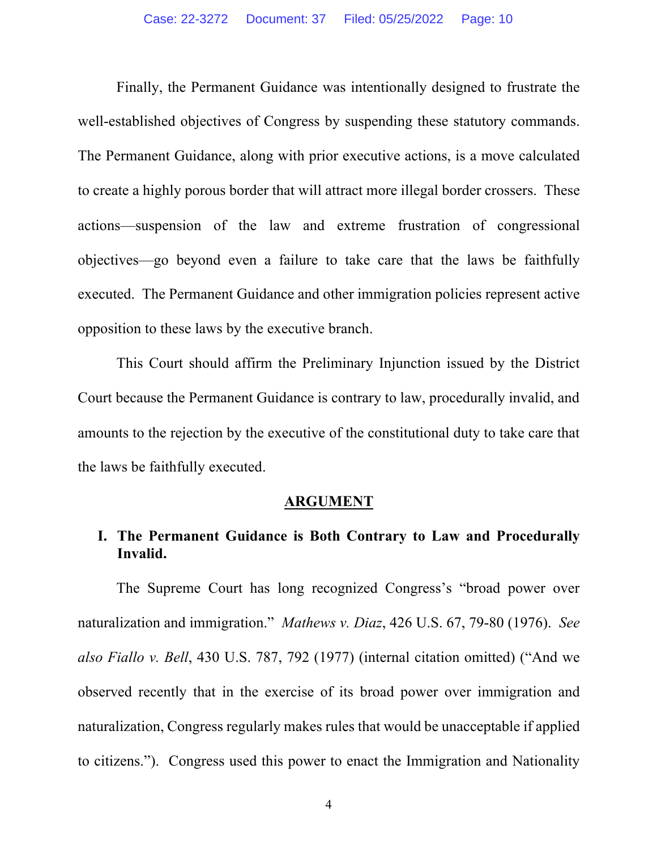Finally, the Permanent Guidance was intentionally designed to frustrate the well-established objectives of Congress by suspending these statutory commands. The Permanent Guidance, along with prior executive actions, is a move calculated to create a highly porous border that will attract more illegal border crossers. These actions—suspension of the law and extreme frustration of congressional objectives—go beyond even a failure to take care that the laws be faithfully executed. The Permanent Guidance and other immigration policies represent active opposition to these laws by the executive branch.

This Court should affirm the Preliminary Injunction issued by the District Court because the Permanent Guidance is contrary to law, procedurally invalid, and amounts to the rejection by the executive of the constitutional duty to take care that the laws be faithfully executed.

#### **ARGUMENT**

# **I. The Permanent Guidance is Both Contrary to Law and Procedurally Invalid.**

The Supreme Court has long recognized Congress's "broad power over naturalization and immigration." *Mathews v. Diaz*, 426 U.S. 67, 79-80 (1976). *See also Fiallo v. Bell*, 430 U.S. 787, 792 (1977) (internal citation omitted) ("And we observed recently that in the exercise of its broad power over immigration and naturalization, Congress regularly makes rules that would be unacceptable if applied to citizens."). Congress used this power to enact the Immigration and Nationality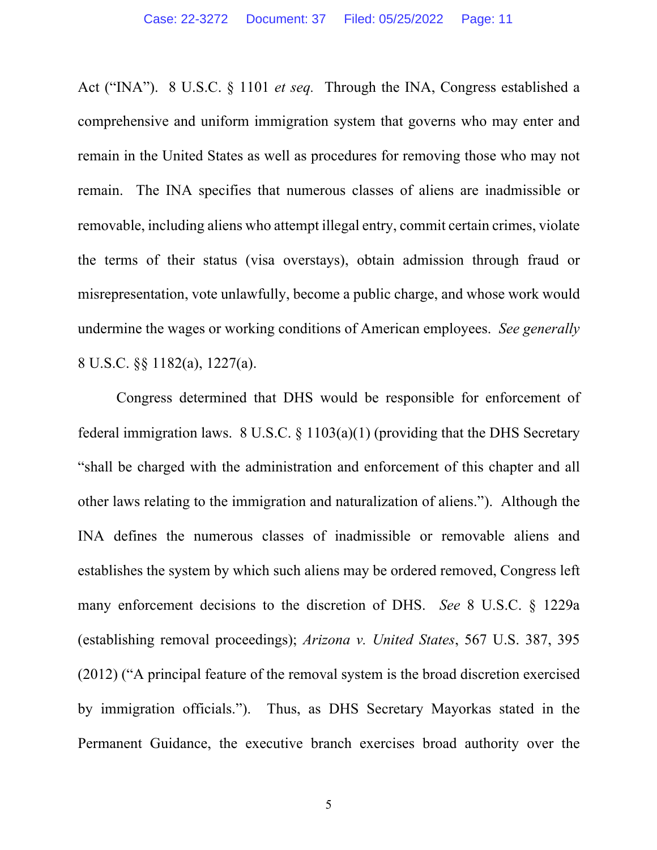Act ("INA"). 8 U.S.C. § 1101 *et seq.* Through the INA, Congress established a comprehensive and uniform immigration system that governs who may enter and remain in the United States as well as procedures for removing those who may not remain. The INA specifies that numerous classes of aliens are inadmissible or removable, including aliens who attempt illegal entry, commit certain crimes, violate the terms of their status (visa overstays), obtain admission through fraud or misrepresentation, vote unlawfully, become a public charge, and whose work would undermine the wages or working conditions of American employees. *See generally* 8 U.S.C. §§ 1182(a), 1227(a).

Congress determined that DHS would be responsible for enforcement of federal immigration laws.  $8 \text{ U.S.C.} \& 1103(a)(1)$  (providing that the DHS Secretary "shall be charged with the administration and enforcement of this chapter and all other laws relating to the immigration and naturalization of aliens."). Although the INA defines the numerous classes of inadmissible or removable aliens and establishes the system by which such aliens may be ordered removed, Congress left many enforcement decisions to the discretion of DHS. *See* 8 U.S.C. § 1229a (establishing removal proceedings); *Arizona v. United States*, 567 U.S. 387, 395 (2012) ("A principal feature of the removal system is the broad discretion exercised by immigration officials."). Thus, as DHS Secretary Mayorkas stated in the Permanent Guidance, the executive branch exercises broad authority over the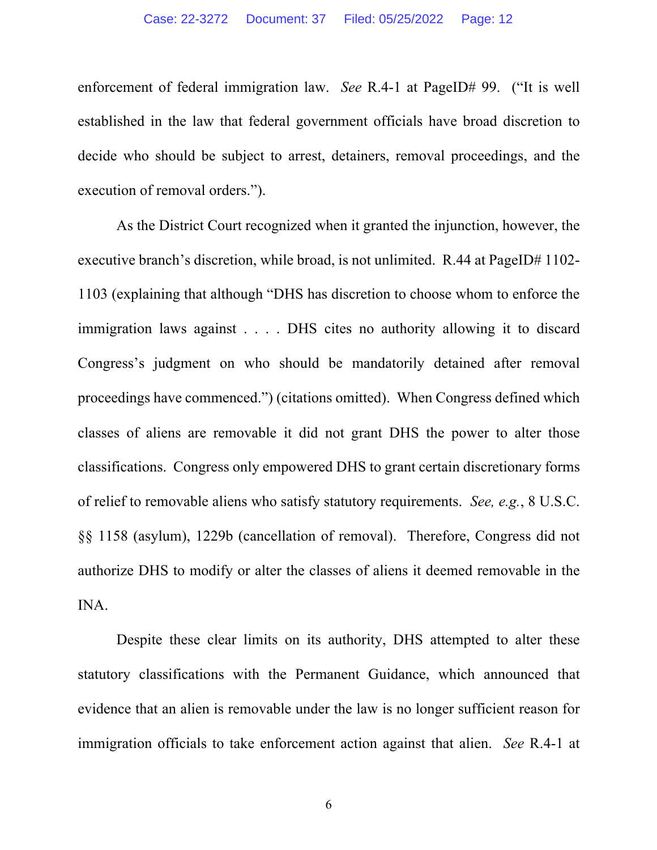enforcement of federal immigration law. *See* R.4-1 at PageID# 99. ("It is well established in the law that federal government officials have broad discretion to decide who should be subject to arrest, detainers, removal proceedings, and the execution of removal orders.").

As the District Court recognized when it granted the injunction, however, the executive branch's discretion, while broad, is not unlimited. R.44 at PageID# 1102-1103 (explaining that although "DHS has discretion to choose whom to enforce the immigration laws against . . . . DHS cites no authority allowing it to discard Congress's judgment on who should be mandatorily detained after removal proceedings have commenced.") (citations omitted). When Congress defined which classes of aliens are removable it did not grant DHS the power to alter those classifications. Congress only empowered DHS to grant certain discretionary forms of relief to removable aliens who satisfy statutory requirements. *See, e.g.*, 8 U.S.C. §§ 1158 (asylum), 1229b (cancellation of removal). Therefore, Congress did not authorize DHS to modify or alter the classes of aliens it deemed removable in the INA.

Despite these clear limits on its authority, DHS attempted to alter these statutory classifications with the Permanent Guidance, which announced that evidence that an alien is removable under the law is no longer sufficient reason for immigration officials to take enforcement action against that alien. *See* R.4-1 at

6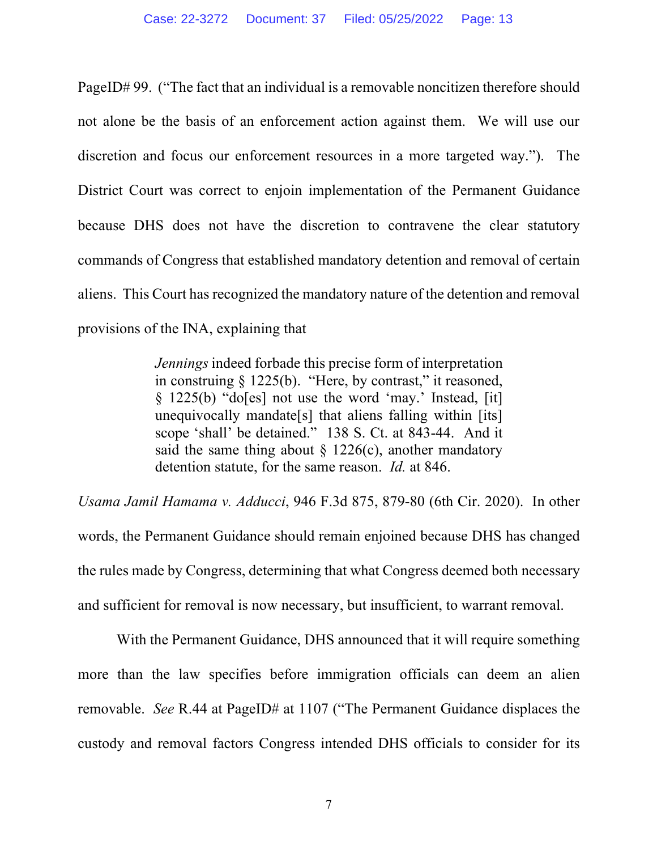PageID# 99. ("The fact that an individual is a removable noncitizen therefore should not alone be the basis of an enforcement action against them. We will use our discretion and focus our enforcement resources in a more targeted way."). The District Court was correct to enjoin implementation of the Permanent Guidance because DHS does not have the discretion to contravene the clear statutory commands of Congress that established mandatory detention and removal of certain aliens. This Court has recognized the mandatory nature of the detention and removal provisions of the INA, explaining that

> *Jennings* indeed forbade this precise form of interpretation in construing  $\S$  1225(b). "Here, by contrast," it reasoned, § 1225(b) "do[es] not use the word 'may.' Instead, [it] unequivocally mandate[s] that aliens falling within [its] scope 'shall' be detained." 138 S. Ct. at 843-44. And it said the same thing about  $\S$  1226(c), another mandatory detention statute, for the same reason. *Id.* at 846.

*Usama Jamil Hamama v. Adducci*, 946 F.3d 875, 879-80 (6th Cir. 2020). In other words, the Permanent Guidance should remain enjoined because DHS has changed the rules made by Congress, determining that what Congress deemed both necessary and sufficient for removal is now necessary, but insufficient, to warrant removal.

With the Permanent Guidance, DHS announced that it will require something more than the law specifies before immigration officials can deem an alien removable. *See* R.44 at PageID# at 1107 ("The Permanent Guidance displaces the custody and removal factors Congress intended DHS officials to consider for its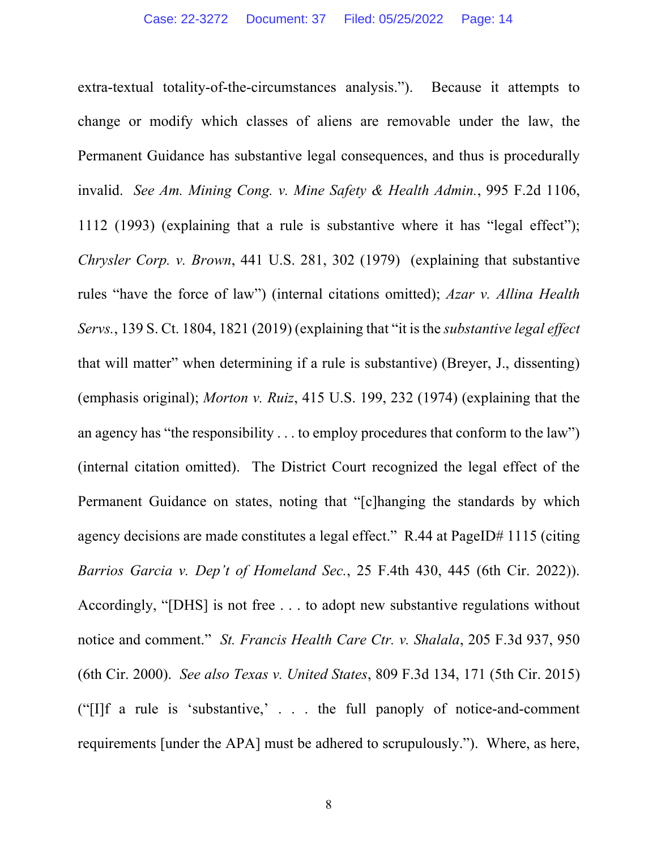extra-textual totality-of-the-circumstances analysis."). Because it attempts to change or modify which classes of aliens are removable under the law, the Permanent Guidance has substantive legal consequences, and thus is procedurally invalid. *See Am. Mining Cong. v. Mine Safety & Health Admin.*, 995 F.2d 1106, 1112 (1993) (explaining that a rule is substantive where it has "legal effect"); *Chrysler Corp. v. Brown*, 441 U.S. 281, 302 (1979) (explaining that substantive rules "have the force of law") (internal citations omitted); *Azar v. Allina Health Servs.*, 139 S. Ct. 1804, 1821 (2019) (explaining that "it is the *substantive legal effect* that will matter" when determining if a rule is substantive) (Breyer, J., dissenting) (emphasis original); *Morton v. Ruiz*, 415 U.S. 199, 232 (1974) (explaining that the an agency has "the responsibility . . . to employ procedures that conform to the law") (internal citation omitted). The District Court recognized the legal effect of the Permanent Guidance on states, noting that "[c]hanging the standards by which agency decisions are made constitutes a legal effect." R.44 at PageID# 1115 (citing *Barrios Garcia v. Dep't of Homeland Sec.*, 25 F.4th 430, 445 (6th Cir. 2022)). Accordingly, "[DHS] is not free . . . to adopt new substantive regulations without notice and comment." *St. Francis Health Care Ctr. v. Shalala*, 205 F.3d 937, 950 (6th Cir. 2000). *See also Texas v. United States*, 809 F.3d 134, 171 (5th Cir. 2015) ("[I]f a rule is 'substantive,' . . . the full panoply of notice-and-comment requirements [under the APA] must be adhered to scrupulously."). Where, as here,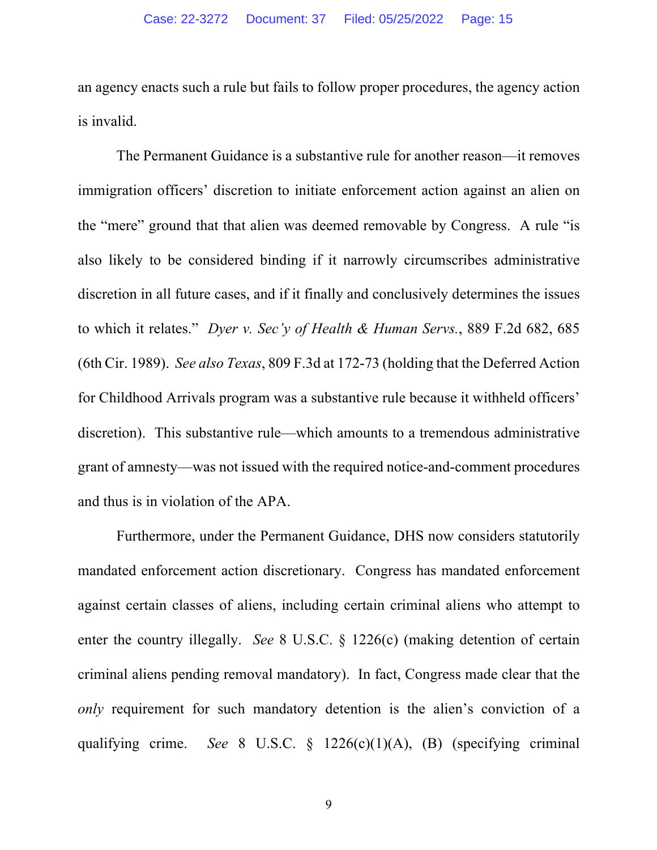an agency enacts such a rule but fails to follow proper procedures, the agency action is invalid.

The Permanent Guidance is a substantive rule for another reason—it removes immigration officers' discretion to initiate enforcement action against an alien on the "mere" ground that that alien was deemed removable by Congress. A rule "is also likely to be considered binding if it narrowly circumscribes administrative discretion in all future cases, and if it finally and conclusively determines the issues to which it relates." *Dyer v. Sec'y of Health & Human Servs.*, 889 F.2d 682, 685 (6th Cir. 1989). *See also Texas*, 809 F.3d at 172-73 (holding that the Deferred Action for Childhood Arrivals program was a substantive rule because it withheld officers' discretion). This substantive rule—which amounts to a tremendous administrative grant of amnesty—was not issued with the required notice-and-comment procedures and thus is in violation of the APA.

Furthermore, under the Permanent Guidance, DHS now considers statutorily mandated enforcement action discretionary. Congress has mandated enforcement against certain classes of aliens, including certain criminal aliens who attempt to enter the country illegally. *See* 8 U.S.C. § 1226(c) (making detention of certain criminal aliens pending removal mandatory). In fact, Congress made clear that the *only* requirement for such mandatory detention is the alien's conviction of a qualifying crime. *See* 8 U.S.C. § 1226(c)(1)(A), (B) (specifying criminal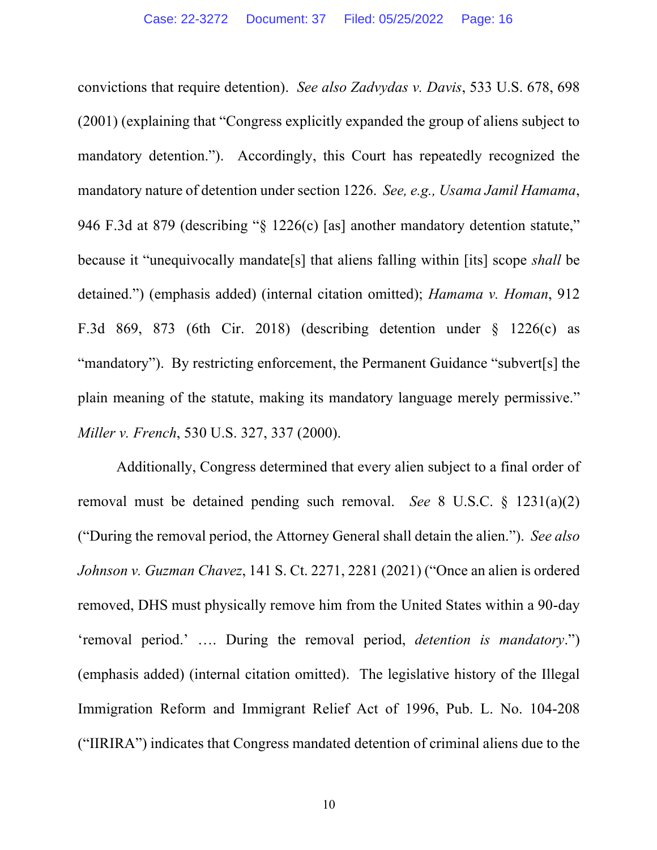convictions that require detention). *See also Zadvydas v. Davis*, 533 U.S. 678, 698 (2001) (explaining that "Congress explicitly expanded the group of aliens subject to mandatory detention."). Accordingly, this Court has repeatedly recognized the mandatory nature of detention under section 1226. *See, e.g., Usama Jamil Hamama*, 946 F.3d at 879 (describing "§ 1226(c) [as] another mandatory detention statute," because it "unequivocally mandate[s] that aliens falling within [its] scope *shall* be detained.") (emphasis added) (internal citation omitted); *Hamama v. Homan*, 912 F.3d 869, 873 (6th Cir. 2018) (describing detention under § 1226(c) as "mandatory"). By restricting enforcement, the Permanent Guidance "subvert[s] the plain meaning of the statute, making its mandatory language merely permissive." *Miller v. French*, 530 U.S. 327, 337 (2000).

Additionally, Congress determined that every alien subject to a final order of removal must be detained pending such removal. *See* 8 U.S.C. § 1231(a)(2) ("During the removal period, the Attorney General shall detain the alien."). *See also Johnson v. Guzman Chavez*, 141 S. Ct. 2271, 2281 (2021) ("Once an alien is ordered removed, DHS must physically remove him from the United States within a 90-day 'removal period.' …. During the removal period, *detention is mandatory*.") (emphasis added) (internal citation omitted). The legislative history of the Illegal Immigration Reform and Immigrant Relief Act of 1996, Pub. L. No. 104-208 ("IIRIRA") indicates that Congress mandated detention of criminal aliens due to the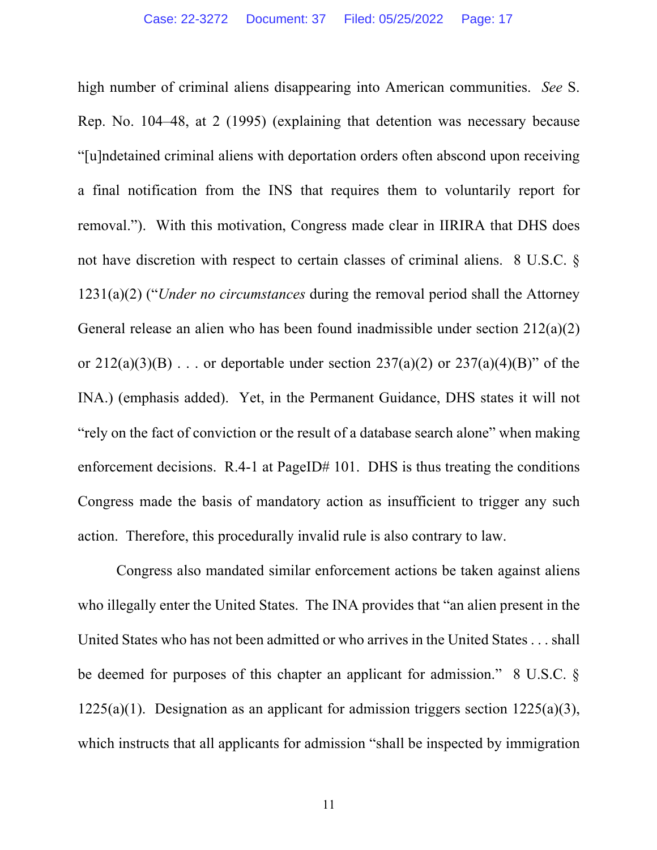high number of criminal aliens disappearing into American communities. *See* S. Rep. No. 104–48, at 2 (1995) (explaining that detention was necessary because "[u]ndetained criminal aliens with deportation orders often abscond upon receiving a final notification from the INS that requires them to voluntarily report for removal."). With this motivation, Congress made clear in IIRIRA that DHS does not have discretion with respect to certain classes of criminal aliens. 8 U.S.C. § 1231(a)(2) ("*Under no circumstances* during the removal period shall the Attorney General release an alien who has been found inadmissible under section 212(a)(2) or  $212(a)(3)(B)$ ... or deportable under section  $237(a)(2)$  or  $237(a)(4)(B)$ " of the INA.) (emphasis added). Yet, in the Permanent Guidance, DHS states it will not "rely on the fact of conviction or the result of a database search alone" when making enforcement decisions. R.4-1 at PageID# 101. DHS is thus treating the conditions Congress made the basis of mandatory action as insufficient to trigger any such action. Therefore, this procedurally invalid rule is also contrary to law.

Congress also mandated similar enforcement actions be taken against aliens who illegally enter the United States. The INA provides that "an alien present in the United States who has not been admitted or who arrives in the United States . . . shall be deemed for purposes of this chapter an applicant for admission." 8 U.S.C. §  $1225(a)(1)$ . Designation as an applicant for admission triggers section  $1225(a)(3)$ , which instructs that all applicants for admission "shall be inspected by immigration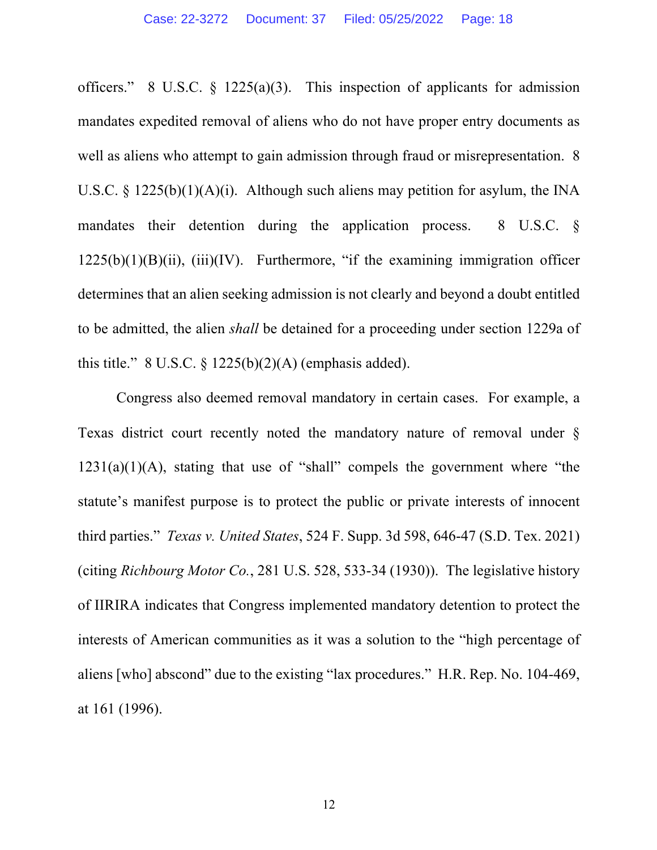officers." 8 U.S.C.  $\S$  1225(a)(3). This inspection of applicants for admission mandates expedited removal of aliens who do not have proper entry documents as well as aliens who attempt to gain admission through fraud or misrepresentation. 8 U.S.C. § 1225(b)(1)(A)(i). Although such aliens may petition for asylum, the INA mandates their detention during the application process. 8 U.S.C. §  $1225(b)(1)(B)(ii)$ ,  $(iii)(IV)$ . Furthermore, "if the examining immigration officer determines that an alien seeking admission is not clearly and beyond a doubt entitled to be admitted, the alien *shall* be detained for a proceeding under section 1229a of this title."  $8 \text{ U.S.C.} \S 1225(b)(2)(\text{A})$  (emphasis added).

Congress also deemed removal mandatory in certain cases. For example, a Texas district court recently noted the mandatory nature of removal under §  $1231(a)(1)(A)$ , stating that use of "shall" compels the government where "the statute's manifest purpose is to protect the public or private interests of innocent third parties." *Texas v. United States*, 524 F. Supp. 3d 598, 646-47 (S.D. Tex. 2021) (citing *Richbourg Motor Co.*, 281 U.S. 528, 533-34 (1930)). The legislative history of IIRIRA indicates that Congress implemented mandatory detention to protect the interests of American communities as it was a solution to the "high percentage of aliens [who] abscond" due to the existing "lax procedures." H.R. Rep. No. 104-469, at 161 (1996).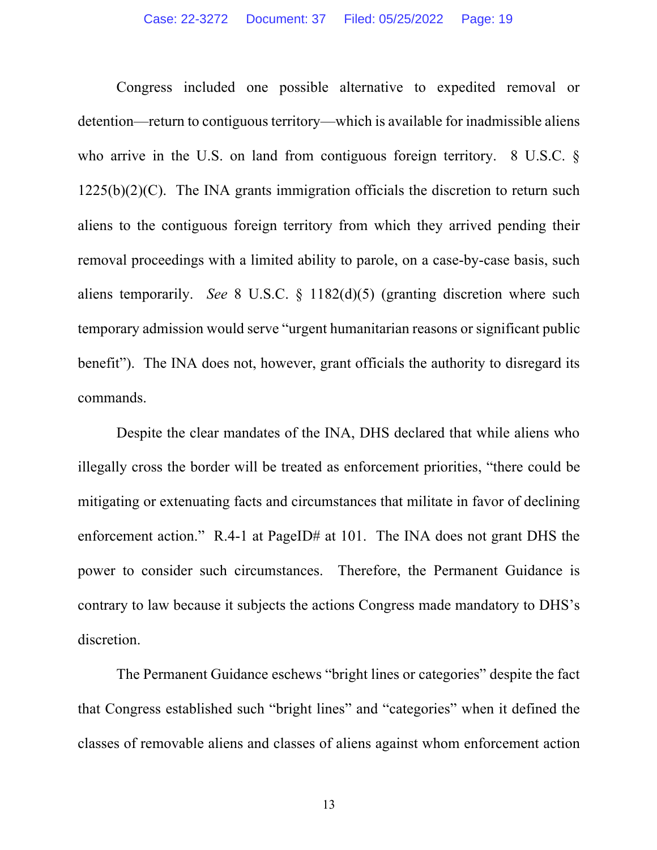Congress included one possible alternative to expedited removal or detention—return to contiguous territory—which is available for inadmissible aliens who arrive in the U.S. on land from contiguous foreign territory. 8 U.S.C. §  $1225(b)(2)(C)$ . The INA grants immigration officials the discretion to return such aliens to the contiguous foreign territory from which they arrived pending their removal proceedings with a limited ability to parole, on a case-by-case basis, such aliens temporarily. *See* 8 U.S.C. § 1182(d)(5) (granting discretion where such temporary admission would serve "urgent humanitarian reasons or significant public benefit"). The INA does not, however, grant officials the authority to disregard its commands.

Despite the clear mandates of the INA, DHS declared that while aliens who illegally cross the border will be treated as enforcement priorities, "there could be mitigating or extenuating facts and circumstances that militate in favor of declining enforcement action." R.4-1 at PageID# at 101. The INA does not grant DHS the power to consider such circumstances. Therefore, the Permanent Guidance is contrary to law because it subjects the actions Congress made mandatory to DHS's discretion.

The Permanent Guidance eschews "bright lines or categories" despite the fact that Congress established such "bright lines" and "categories" when it defined the classes of removable aliens and classes of aliens against whom enforcement action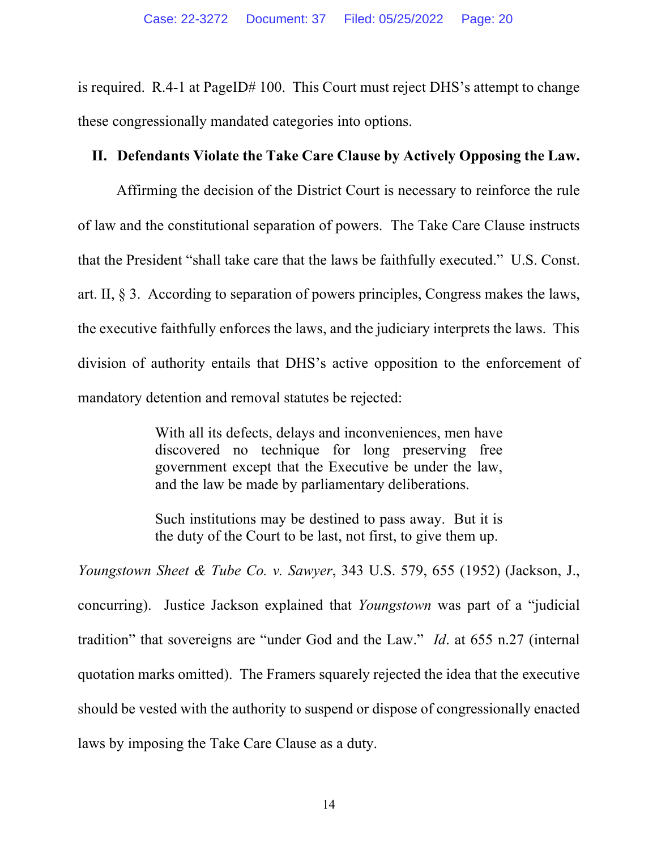is required. R.4-1 at PageID# 100. This Court must reject DHS's attempt to change these congressionally mandated categories into options.

#### **II. Defendants Violate the Take Care Clause by Actively Opposing the Law.**

Affirming the decision of the District Court is necessary to reinforce the rule of law and the constitutional separation of powers. The Take Care Clause instructs that the President "shall take care that the laws be faithfully executed." U.S. Const. art. II, § 3. According to separation of powers principles, Congress makes the laws, the executive faithfully enforces the laws, and the judiciary interprets the laws. This division of authority entails that DHS's active opposition to the enforcement of mandatory detention and removal statutes be rejected:

> With all its defects, delays and inconveniences, men have discovered no technique for long preserving free government except that the Executive be under the law, and the law be made by parliamentary deliberations.

> Such institutions may be destined to pass away. But it is the duty of the Court to be last, not first, to give them up.

*Youngstown Sheet & Tube Co. v. Sawyer*, 343 U.S. 579, 655 (1952) (Jackson, J., concurring). Justice Jackson explained that *Youngstown* was part of a "judicial tradition" that sovereigns are "under God and the Law." *Id*. at 655 n.27 (internal quotation marks omitted). The Framers squarely rejected the idea that the executive should be vested with the authority to suspend or dispose of congressionally enacted laws by imposing the Take Care Clause as a duty.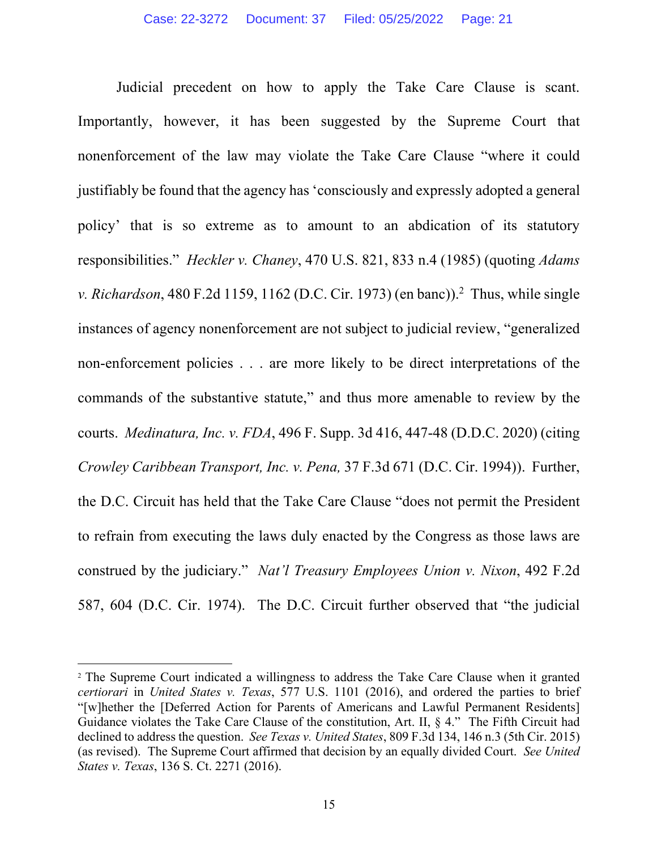Judicial precedent on how to apply the Take Care Clause is scant. Importantly, however, it has been suggested by the Supreme Court that nonenforcement of the law may violate the Take Care Clause "where it could justifiably be found that the agency has 'consciously and expressly adopted a general policy' that is so extreme as to amount to an abdication of its statutory responsibilities." *Heckler v. Chaney*, 470 U.S. 821, 833 n.4 (1985) (quoting *Adams v. Richardson*, 480 F.2d 1159, 1162 (D.C. Cir. 1973) (en banc)).<sup>2</sup> Thus, while single instances of agency nonenforcement are not subject to judicial review, "generalized non-enforcement policies . . . are more likely to be direct interpretations of the commands of the substantive statute," and thus more amenable to review by the courts. *Medinatura, Inc. v. FDA*, 496 F. Supp. 3d 416, 447-48 (D.D.C. 2020) (citing *Crowley Caribbean Transport, Inc. v. Pena,* 37 F.3d 671 (D.C. Cir. 1994)). Further, the D.C. Circuit has held that the Take Care Clause "does not permit the President to refrain from executing the laws duly enacted by the Congress as those laws are construed by the judiciary." *Nat'l Treasury Employees Union v. Nixon*, 492 F.2d 587, 604 (D.C. Cir. 1974). The D.C. Circuit further observed that "the judicial

<sup>2</sup> The Supreme Court indicated a willingness to address the Take Care Clause when it granted *certiorari* in *United States v. Texas*, 577 U.S. 1101 (2016), and ordered the parties to brief "[w]hether the [Deferred Action for Parents of Americans and Lawful Permanent Residents] Guidance violates the Take Care Clause of the constitution, Art. II, § 4." The Fifth Circuit had declined to address the question. *See Texas v. United States*, 809 F.3d 134, 146 n.3 (5th Cir. 2015) (as revised). The Supreme Court affirmed that decision by an equally divided Court. *See United States v. Texas*, 136 S. Ct. 2271 (2016).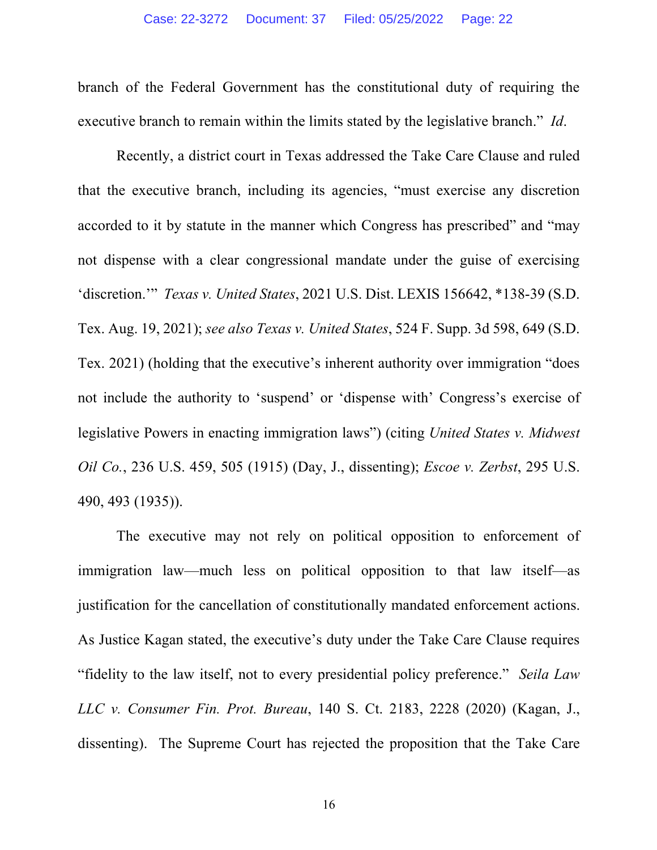branch of the Federal Government has the constitutional duty of requiring the executive branch to remain within the limits stated by the legislative branch." *Id*.

Recently, a district court in Texas addressed the Take Care Clause and ruled that the executive branch, including its agencies, "must exercise any discretion accorded to it by statute in the manner which Congress has prescribed" and "may not dispense with a clear congressional mandate under the guise of exercising 'discretion.'" *Texas v. United States*, 2021 U.S. Dist. LEXIS 156642, \*138-39 (S.D. Tex. Aug. 19, 2021); *see also Texas v. United States*, 524 F. Supp. 3d 598, 649 (S.D. Tex. 2021) (holding that the executive's inherent authority over immigration "does not include the authority to 'suspend' or 'dispense with' Congress's exercise of legislative Powers in enacting immigration laws") (citing *United States v. Midwest Oil Co.*, 236 U.S. 459, 505 (1915) (Day, J., dissenting); *Escoe v. Zerbst*, 295 U.S. 490, 493 (1935)).

The executive may not rely on political opposition to enforcement of immigration law—much less on political opposition to that law itself—as justification for the cancellation of constitutionally mandated enforcement actions. As Justice Kagan stated, the executive's duty under the Take Care Clause requires "fidelity to the law itself, not to every presidential policy preference." *Seila Law LLC v. Consumer Fin. Prot. Bureau*, 140 S. Ct. 2183, 2228 (2020) (Kagan, J., dissenting). The Supreme Court has rejected the proposition that the Take Care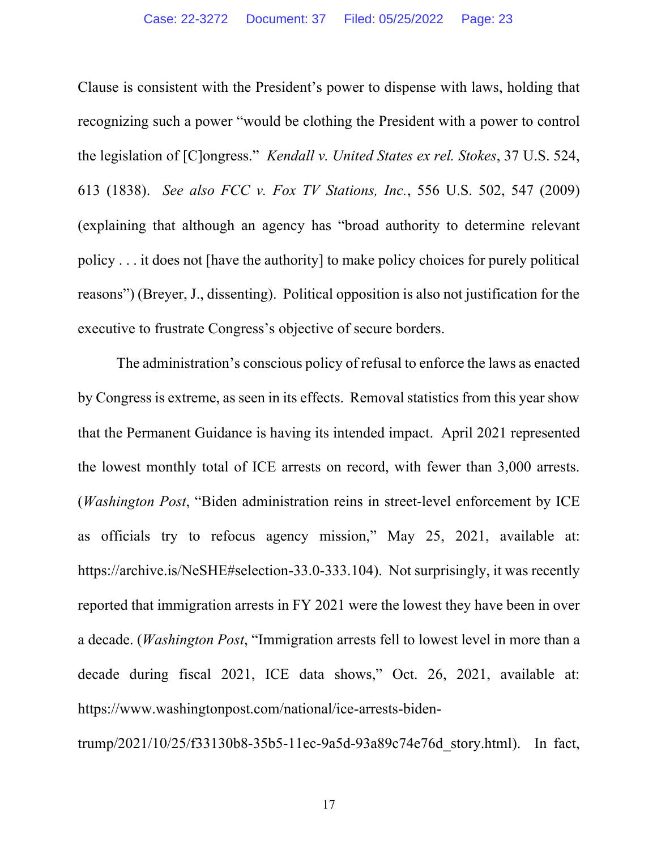Clause is consistent with the President's power to dispense with laws, holding that recognizing such a power "would be clothing the President with a power to control the legislation of [C]ongress." *Kendall v. United States ex rel. Stokes*, 37 U.S. 524, 613 (1838). *See also FCC v. Fox TV Stations, Inc.*, 556 U.S. 502, 547 (2009) (explaining that although an agency has "broad authority to determine relevant policy . . . it does not [have the authority] to make policy choices for purely political reasons") (Breyer, J., dissenting). Political opposition is also not justification for the executive to frustrate Congress's objective of secure borders.

The administration's conscious policy of refusal to enforce the laws as enacted by Congress is extreme, as seen in its effects. Removal statistics from this year show that the Permanent Guidance is having its intended impact. April 2021 represented the lowest monthly total of ICE arrests on record, with fewer than 3,000 arrests. (*Washington Post*, "Biden administration reins in street-level enforcement by ICE as officials try to refocus agency mission," May 25, 2021, available at: https://archive.is/NeSHE#selection-33.0-333.104). Not surprisingly, it was recently reported that immigration arrests in FY 2021 were the lowest they have been in over a decade. (*Washington Post*, "Immigration arrests fell to lowest level in more than a decade during fiscal 2021, ICE data shows," Oct. 26, 2021, available at: https://www.washingtonpost.com/national/ice-arrests-biden-

trump/2021/10/25/f33130b8-35b5-11ec-9a5d-93a89c74e76d\_story.html). In fact,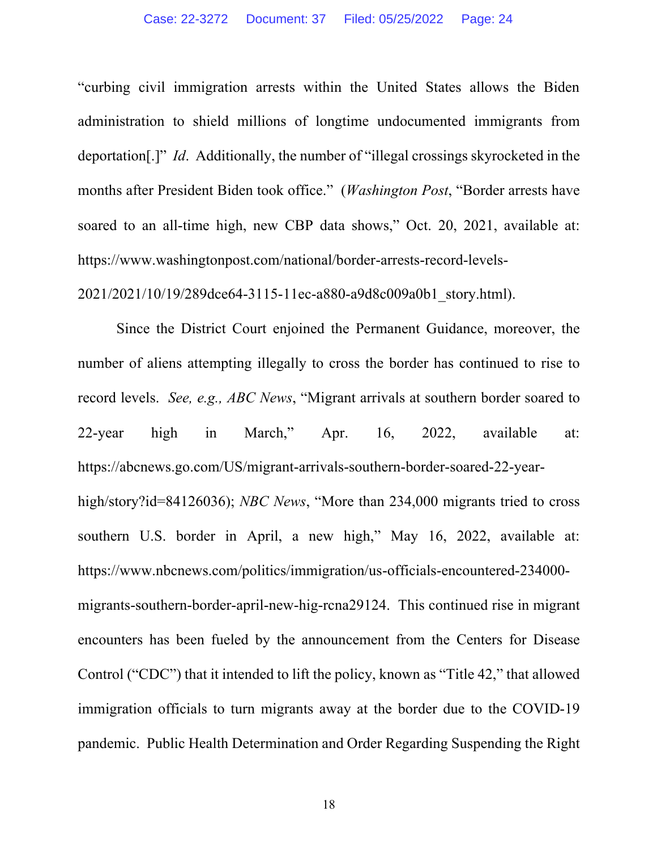"curbing civil immigration arrests within the United States allows the Biden administration to shield millions of longtime undocumented immigrants from deportation[.]" *Id*. Additionally, the number of "illegal crossings skyrocketed in the months after President Biden took office." (*Washington Post*, "Border arrests have soared to an all-time high, new CBP data shows," Oct. 20, 2021, available at: https://www.washingtonpost.com/national/border-arrests-record-levels-

2021/2021/10/19/289dce64-3115-11ec-a880-a9d8c009a0b1\_story.html).

Since the District Court enjoined the Permanent Guidance, moreover, the number of aliens attempting illegally to cross the border has continued to rise to record levels. *See, e.g., ABC News*, "Migrant arrivals at southern border soared to 22-year high in March," Apr. 16, 2022, available at: https://abcnews.go.com/US/migrant-arrivals-southern-border-soared-22-yearhigh/story?id=84126036); *NBC News*, "More than 234,000 migrants tried to cross southern U.S. border in April, a new high," May 16, 2022, available at: https://www.nbcnews.com/politics/immigration/us-officials-encountered-234000 migrants-southern-border-april-new-hig-rcna29124. This continued rise in migrant encounters has been fueled by the announcement from the Centers for Disease Control ("CDC") that it intended to lift the policy, known as "Title 42," that allowed immigration officials to turn migrants away at the border due to the COVID-19 pandemic. Public Health Determination and Order Regarding Suspending the Right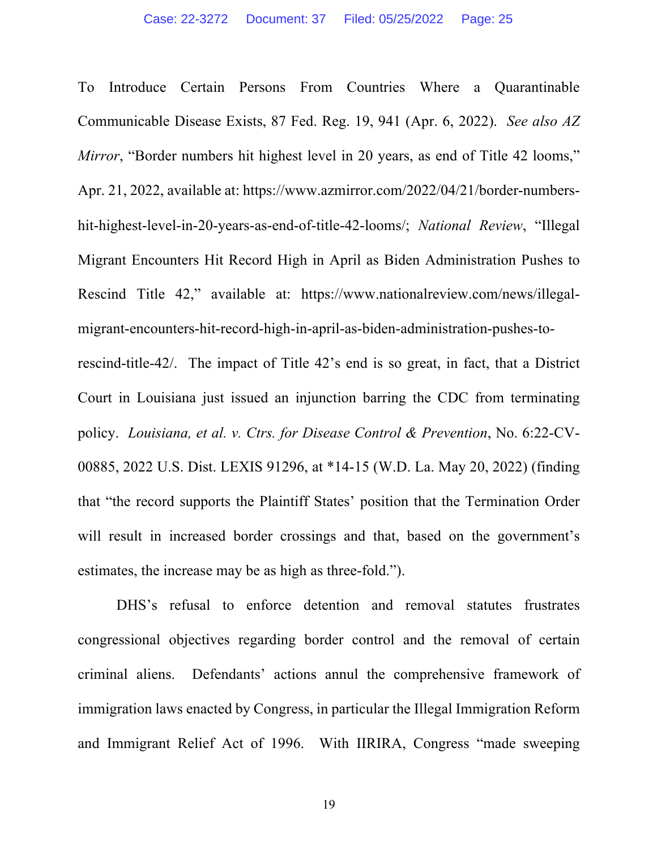To Introduce Certain Persons From Countries Where a Quarantinable Communicable Disease Exists, 87 Fed. Reg. 19, 941 (Apr. 6, 2022). *See also AZ Mirror*, "Border numbers hit highest level in 20 years, as end of Title 42 looms," Apr. 21, 2022, available at: https://www.azmirror.com/2022/04/21/border-numbershit-highest-level-in-20-years-as-end-of-title-42-looms/; *National Review*, "Illegal Migrant Encounters Hit Record High in April as Biden Administration Pushes to Rescind Title 42," available at: https://www.nationalreview.com/news/illegalmigrant-encounters-hit-record-high-in-april-as-biden-administration-pushes-torescind-title-42/. The impact of Title 42's end is so great, in fact, that a District Court in Louisiana just issued an injunction barring the CDC from terminating policy. *Louisiana, et al. v. Ctrs. for Disease Control & Prevention*, No. 6:22-CV-00885, 2022 U.S. Dist. LEXIS 91296, at \*14-15 (W.D. La. May 20, 2022) (finding that "the record supports the Plaintiff States' position that the Termination Order will result in increased border crossings and that, based on the government's estimates, the increase may be as high as three-fold.").

DHS's refusal to enforce detention and removal statutes frustrates congressional objectives regarding border control and the removal of certain criminal aliens. Defendants' actions annul the comprehensive framework of immigration laws enacted by Congress, in particular the Illegal Immigration Reform and Immigrant Relief Act of 1996. With IIRIRA, Congress "made sweeping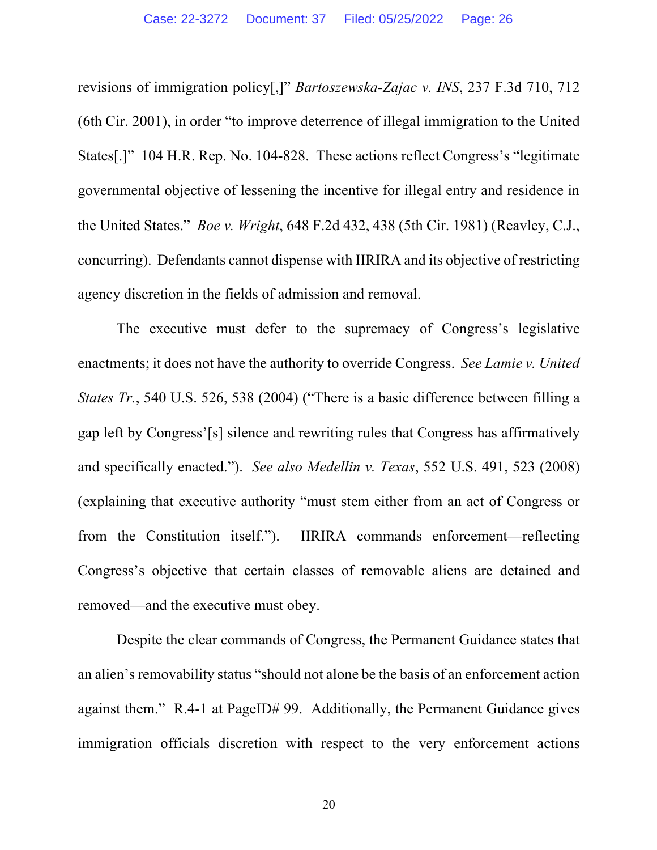revisions of immigration policy[,]" *Bartoszewska-Zajac v. INS*, 237 F.3d 710, 712 (6th Cir. 2001), in order "to improve deterrence of illegal immigration to the United States[.]" 104 H.R. Rep. No. 104-828. These actions reflect Congress's "legitimate governmental objective of lessening the incentive for illegal entry and residence in the United States." *Boe v. Wright*, 648 F.2d 432, 438 (5th Cir. 1981) (Reavley, C.J., concurring). Defendants cannot dispense with IIRIRA and its objective of restricting agency discretion in the fields of admission and removal.

The executive must defer to the supremacy of Congress's legislative enactments; it does not have the authority to override Congress. *See Lamie v. United States Tr.*, 540 U.S. 526, 538 (2004) ("There is a basic difference between filling a gap left by Congress'[s] silence and rewriting rules that Congress has affirmatively and specifically enacted."). *See also Medellin v. Texas*, 552 U.S. 491, 523 (2008) (explaining that executive authority "must stem either from an act of Congress or from the Constitution itself."). IIRIRA commands enforcement—reflecting Congress's objective that certain classes of removable aliens are detained and removed—and the executive must obey.

Despite the clear commands of Congress, the Permanent Guidance states that an alien's removability status "should not alone be the basis of an enforcement action against them." R.4-1 at PageID# 99. Additionally, the Permanent Guidance gives immigration officials discretion with respect to the very enforcement actions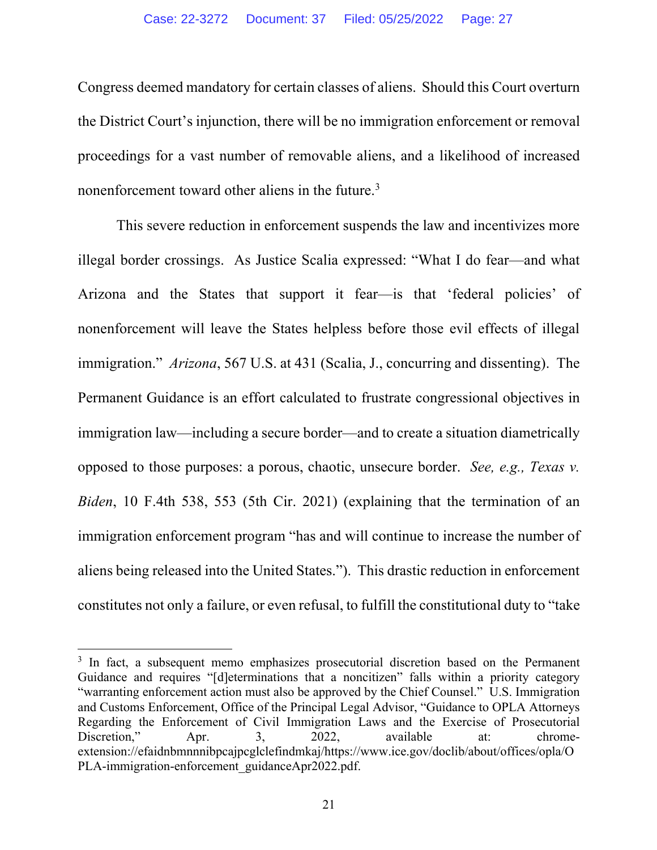Congress deemed mandatory for certain classes of aliens. Should this Court overturn the District Court's injunction, there will be no immigration enforcement or removal proceedings for a vast number of removable aliens, and a likelihood of increased nonenforcement toward other aliens in the future.<sup>3</sup>

This severe reduction in enforcement suspends the law and incentivizes more illegal border crossings. As Justice Scalia expressed: "What I do fear—and what Arizona and the States that support it fear—is that 'federal policies' of nonenforcement will leave the States helpless before those evil effects of illegal immigration." *Arizona*, 567 U.S. at 431 (Scalia, J., concurring and dissenting). The Permanent Guidance is an effort calculated to frustrate congressional objectives in immigration law—including a secure border—and to create a situation diametrically opposed to those purposes: a porous, chaotic, unsecure border. *See, e.g., Texas v. Biden*, 10 F.4th 538, 553 (5th Cir. 2021) (explaining that the termination of an immigration enforcement program "has and will continue to increase the number of aliens being released into the United States."). This drastic reduction in enforcement constitutes not only a failure, or even refusal, to fulfill the constitutional duty to "take

<sup>&</sup>lt;sup>3</sup> In fact, a subsequent memo emphasizes prosecutorial discretion based on the Permanent Guidance and requires "[d]eterminations that a noncitizen" falls within a priority category "warranting enforcement action must also be approved by the Chief Counsel." U.S. Immigration and Customs Enforcement, Office of the Principal Legal Advisor, "Guidance to OPLA Attorneys Regarding the Enforcement of Civil Immigration Laws and the Exercise of Prosecutorial Discretion," Apr. 3, 2022, available at: chromeextension://efaidnbmnnnibpcajpcglclefindmkaj/https://www.ice.gov/doclib/about/offices/opla/O PLA-immigration-enforcement\_guidanceApr2022.pdf.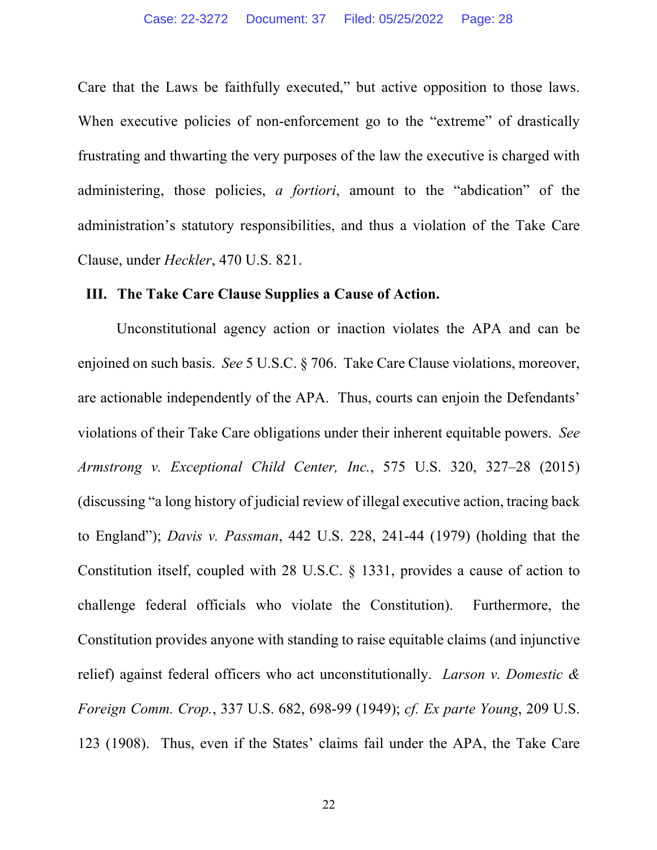Care that the Laws be faithfully executed," but active opposition to those laws. When executive policies of non-enforcement go to the "extreme" of drastically frustrating and thwarting the very purposes of the law the executive is charged with administering, those policies, *a fortiori*, amount to the "abdication" of the administration's statutory responsibilities, and thus a violation of the Take Care Clause, under *Heckler*, 470 U.S. 821.

#### **III. The Take Care Clause Supplies a Cause of Action.**

Unconstitutional agency action or inaction violates the APA and can be enjoined on such basis. *See* 5 U.S.C. § 706. Take Care Clause violations, moreover, are actionable independently of the APA. Thus, courts can enjoin the Defendants' violations of their Take Care obligations under their inherent equitable powers. *See Armstrong v. Exceptional Child Center, Inc.*, 575 U.S. 320, 327–28 (2015) (discussing "a long history of judicial review of illegal executive action, tracing back to England"); *Davis v. Passman*, 442 U.S. 228, 241-44 (1979) (holding that the Constitution itself, coupled with 28 U.S.C. § 1331, provides a cause of action to challenge federal officials who violate the Constitution). Furthermore, the Constitution provides anyone with standing to raise equitable claims (and injunctive relief) against federal officers who act unconstitutionally. *Larson v. Domestic & Foreign Comm. Crop.*, 337 U.S. 682, 698-99 (1949); *cf. Ex parte Young*, 209 U.S. 123 (1908). Thus, even if the States' claims fail under the APA, the Take Care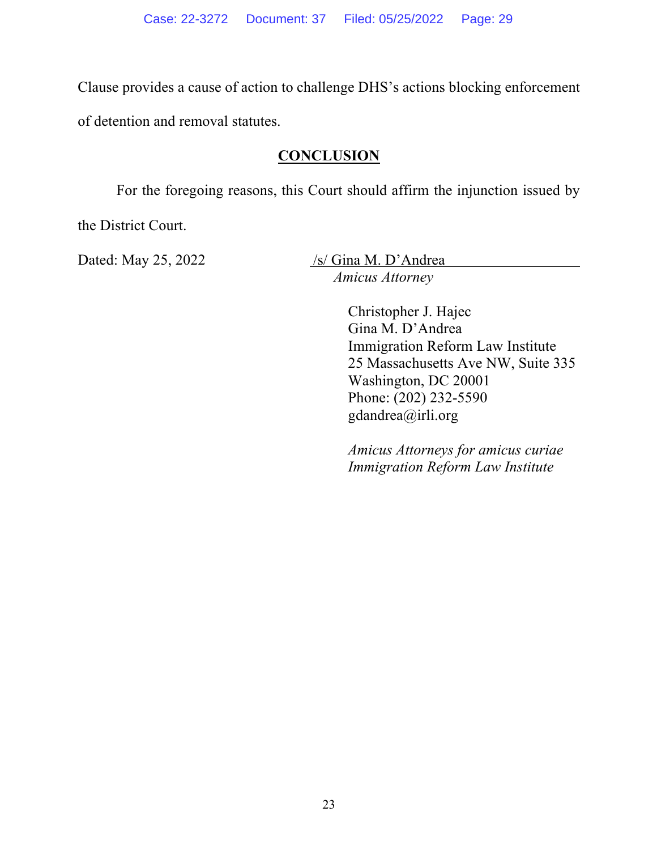Clause provides a cause of action to challenge DHS's actions blocking enforcement

of detention and removal statutes.

### **CONCLUSION**

For the foregoing reasons, this Court should affirm the injunction issued by

the District Court.

Dated: May 25, 2022 /s/ Gina M. D'Andrea

*Amicus Attorney*

Christopher J. Hajec Gina M. D'Andrea Immigration Reform Law Institute 25 Massachusetts Ave NW, Suite 335 Washington, DC 20001 Phone: (202) 232-5590 gdandrea@irli.org

*Amicus Attorneys for amicus curiae Immigration Reform Law Institute*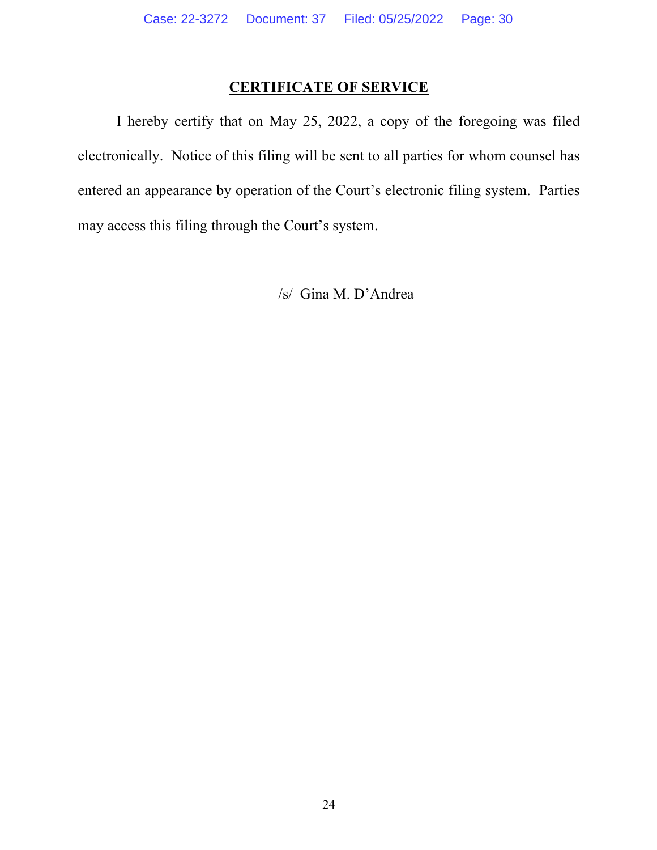# **CERTIFICATE OF SERVICE**

I hereby certify that on May 25, 2022, a copy of the foregoing was filed electronically. Notice of this filing will be sent to all parties for whom counsel has entered an appearance by operation of the Court's electronic filing system. Parties may access this filing through the Court's system.

/s/ Gina M. D'Andrea